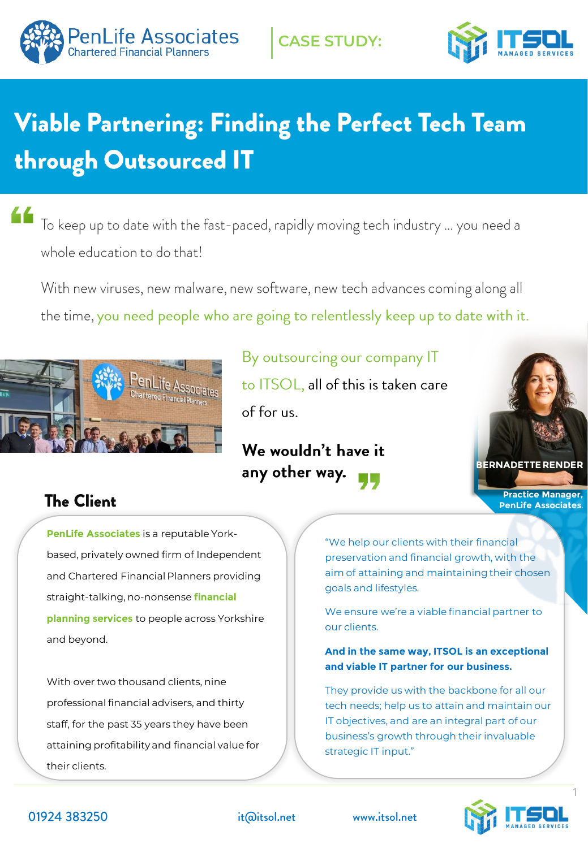



# Viable Partnering: Finding the Perfect Tech Team through Outsourced IT

66 To keep up to date with the fast-paced, rapidly moving tech industry ... you need a whole education to do that!

With new viruses, new malware, new software, new tech advances coming along all the time, you need people who are going to relentlessly keep up to date with it.



By outsourcing our company IT to ITSOL, all of this is taken care of for us.

## We wouldn't have it any other way.



## **The Client**

**PenLife Associates** is a reputable Yorkbased, privately owned firm of Independent and Chartered Financial Planners providing straight-talking, no-nonsense **financial planning services** to people across Yorkshire and beyond.

With over two thousand clients, nine professional financial advisers, and thirty staff, for the past 35 years they have been attaining profitability and financial value for their clients.

"We help our clients with their financial preservation and financial growth, with the aim of attaining and maintaining their chosen goals and lifestyles.

We ensure we're a viable financial partner to our clients.

#### **And in the same way, ITSOL is an exceptional and viable IT partner for our business.**

They provide us with the backbone for all our tech needs; help us to attain and maintain our IT objectives, and are an integral part of our business's growth through their invaluable strategic IT input."





it@itsol.net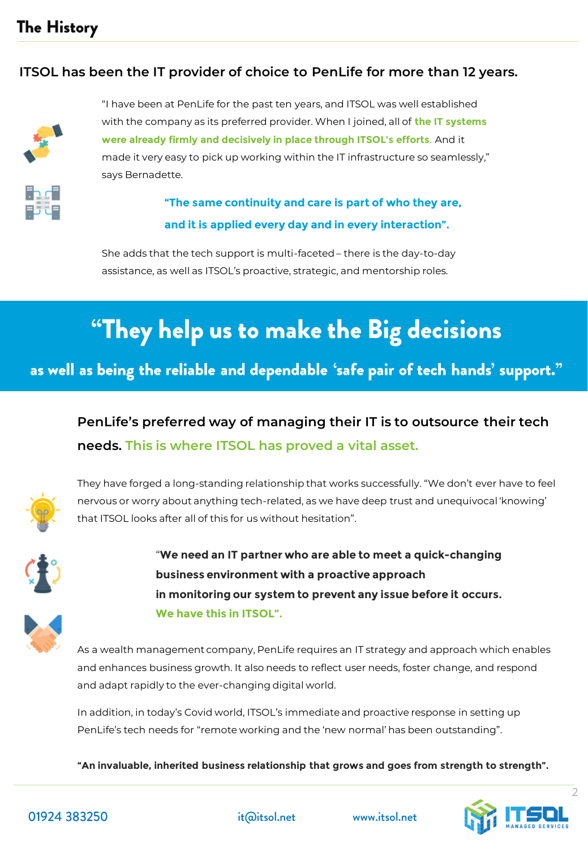## **The History**

#### **ITSOL has been the IT provider of choice to PenLife for more than 12 years.**



"I have been at PenLife for the past ten years, and ITSOL was well established with the company as its preferred provider. When I joined, all of **the IT systems were already firmly and decisively in place through ITSOL's efforts**. And it made it very easy to pick up working within the IT infrastructure so seamlessly," says Bernadette.



She adds that the tech support is multi-faceted – there is the day-to-day assistance, as well as ITSOL's proactive, strategic, and mentorship roles.

## "They help us to make the Big decisions

as well as being the reliable and dependable 'safe pair of tech hands' support."

**PenLife's preferred way of managing their IT is to outsource their tech needs. This is where ITSOL has proved a vital asset.** 



They have forged a long-standing relationship that works successfully. "We don't ever have to feel nervous or worry about anything tech-related, as we have deep trust and unequivocal 'knowing' that ITSOL looks after all of this for us without hesitation".



"**We need an IT partner who are able to meet a quick-changing business environment with a proactive approach in monitoring our system to prevent any issue before it occurs. We have this in ITSOL".**

As a wealth management company, PenLife requires an IT strategy and approach which enables and enhances business growth. It also needs to reflect user needs, foster change, and respond and adapt rapidly to the ever-changing digital world.

In addition, in today's Covid world, ITSOL's immediate and proactive response in setting up PenLife's tech needs for "remote working and the 'new normal' has been outstanding".

**"An invaluable, inherited business relationship that grows and goes from strength to strength".**

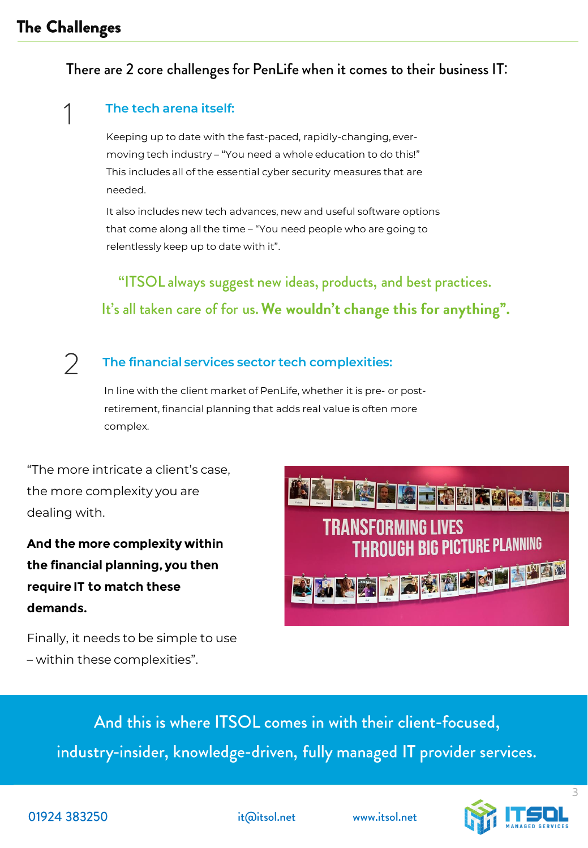### **The Challenges**

### There are 2 core challenges for PenLife when it comes to their business IT:

#### **The tech arena itself:**

Keeping up to date with the fast-paced, rapidly-changing, evermoving tech industry – "You need a whole education to do this!" This includes all of the essential cyber security measures that are needed.

It also includes new tech advances, new and useful software options that come along all the time – "You need people who are going to relentlessly keep up to date with it".

"ITSOL always suggest new ideas, products, and best practices. It's all taken care of for us. We wouldn't change this for anything".

#### $\sum$ **The financial services sector tech complexities:**

In line with the client market of PenLife, whether it is pre- or postretirement, financial planning that adds real value is often more complex.

"The more intricate a client's case, the more complexity you are dealing with.

**And the more complexity within the financial planning, you then require IT to match these demands.** 

TRANSFORMING LIVES **THROUGH BIG PICTURE PLANNING** 

Finally, it needs to be simple to use – within these complexities".

> And this is where ITSOL comes in with their client-focused, industry-insider, knowledge-driven, fully managed IT provider services.



it@itsol.net

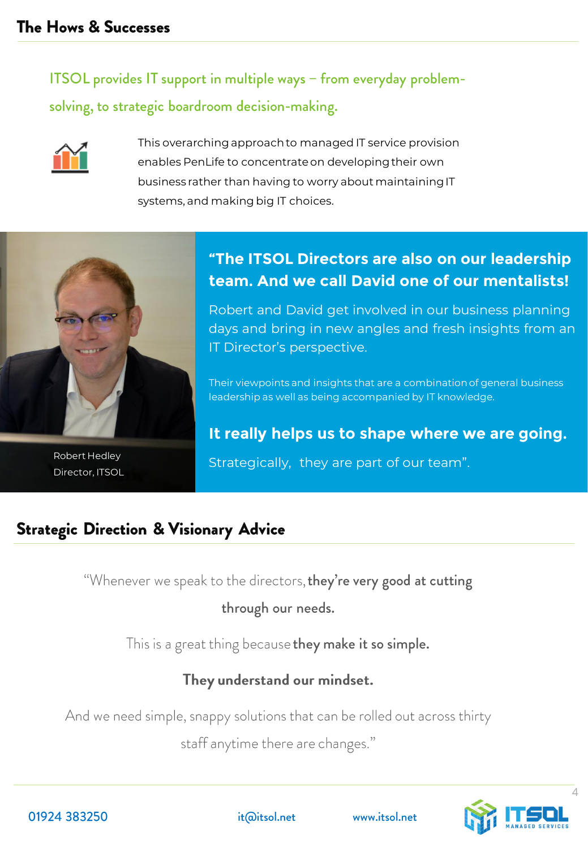ITSOL provides IT support in multiple ways - from everyday problemsolving, to strategic boardroom decision-making.



This overarching approach to managed IT service provision enables PenLife to concentrate on developing their own business rather than having to worry about maintaining IT systems, and making big IT choices.



Director, ITSOL

## **"The ITSOL Directors are also on our leadership team. And we call David one of our mentalists!**

Robert and David get involved in our business planning days and bring in new angles and fresh insights from an IT Director's perspective.

Their viewpoints and insights that are a combination of general business leadership as well as being accompanied by IT knowledge.

## **It really helps us to shape where we are going.**

Robert Hedley **Strategically, they are part of our team**".

## **Strategic Direction & Visionary Advice**

"Whenever we speak to the directors, they're very good at cutting

through our needs.

This is a great thing because they make it so simple.

## They understand our mindset.

And we need simple, snappy solutions that can be rolled out across thirty

staff anytime there are changes."

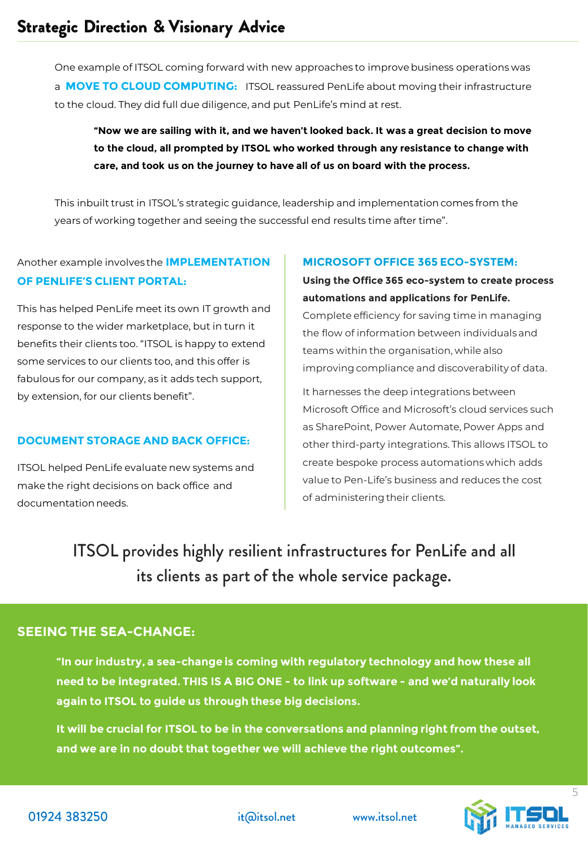One example of ITSOL coming forward with new approaches to improve business operations was a **MOVE TO CLOUD COMPUTING:** ITSOL reassured PenLife about moving their infrastructure to the cloud. They did full due diligence, and put PenLife's mind at rest.

#### **"Now we are sailing with it, and we haven't looked back. It was a great decision to move to the cloud, all prompted by ITSOL who worked through any resistance to change with care, and took us on the journey to have all of us on board with the process.**

This inbuilt trust in ITSOL's strategic guidance, leadership and implementation comes from the years of working together and seeing the successful end results time after time".

Another example involves the **IMPLEMENTATION OF PENLIFE'S CLIENT PORTAL:** 

This has helped PenLife meet its own IT growth and response to the wider marketplace, but in turn it benefits their clients too. "ITSOL is happy to extend some services to our clients too, and this offer is fabulous for our company, as it adds tech support, by extension, for our clients benefit".

#### **DOCUMENT STORAGE AND BACK OFFICE:**

ITSOL helped PenLife evaluate new systems and make the right decisions on back office and documentation needs.

#### **MICROSOFT OFFICE 365 ECO-SYSTEM:**

**Using the Office 365 eco-system to create process automations and applications for PenLife.** Complete efficiency for saving time in managing the flow of information between individuals and teams within the organisation, while also improving compliance and discoverability of data.

It harnesses the deep integrations between Microsoft Office and Microsoft's cloud services such as SharePoint, Power Automate, Power Apps and other third-party integrations. This allows ITSOL to create bespoke process automations which adds value to Pen-Life's business and reduces the cost of administering their clients.

ITSOL provides highly resilient infrastructures for PenLife and all its clients as part of the whole service package.

#### **SEEING THE SEA-CHANGE:**

**"In our industry, a sea-change is coming with regulatory technology and how these all need to be integrated. THIS IS A BIG ONE - to link up software - and we'd naturally look again to ITSOL to guide us through these big decisions.** 

**It will be crucial for ITSOL to be in the conversations and planning right from the outset, and we are in no doubt that together we will achieve the right outcomes".** 

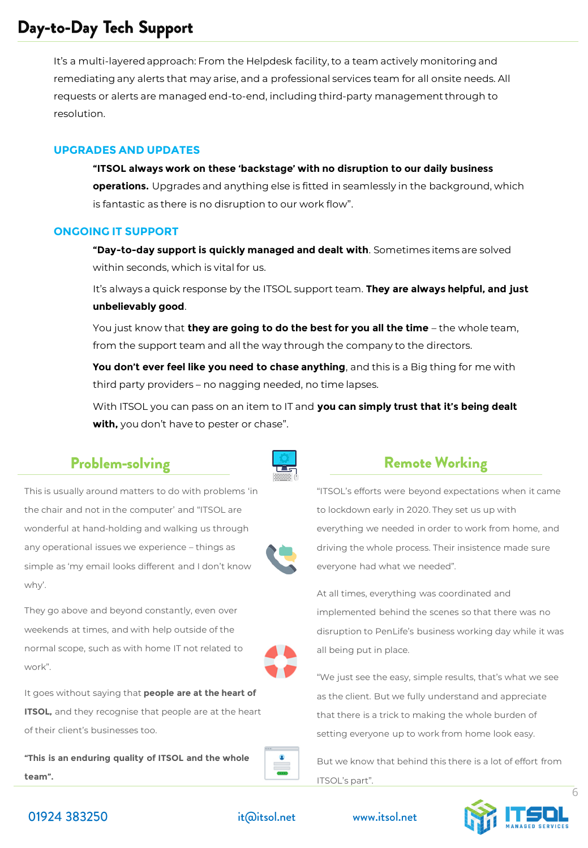## Day-to-Day Tech Support

It's a multi-layered approach: From the Helpdesk facility, to a team actively monitoring and remediating any alerts that may arise, and a professional services team for all onsite needs. All requests or alerts are managed end-to-end, including third-party management through to resolution.

#### **UPGRADES AND UPDATES**

**"ITSOL always work on these 'backstage' with no disruption to our daily business operations.** Upgrades and anything else is fitted in seamlessly in the background, which is fantastic as there is no disruption to our work flow".

#### **ONGOING IT SUPPORT**

**"Day-to-day support is quickly managed and dealt with**. Sometimes items are solved within seconds, which is vital for us.

It's always a quick response by the ITSOL support team. **They are always helpful, and just unbelievably good**.

You just know that **they are going to do the best for you all the time** – the whole team, from the support team and all the way through the company to the directors.

**You don't ever feel like you need to chase anything**, and this is a Big thing for me with third party providers – no nagging needed, no time lapses.

With ITSOL you can pass on an item to IT and **you can simply trust that it's being dealt with,** you don't have to pester or chase".

#### **Problem-solving**

This is usually around matters to do with problems 'in the chair and not in the computer' and "ITSOL are wonderful at hand-holding and walking us through any operational issues we experience – things as simple as 'my email looks different and I don't know why'.

They go above and beyond constantly, even over weekends at times, and with help outside of the normal scope, such as with home IT not related to work".

It goes without saying that **people are at the heart of ITSOL,** and they recognise that people are at the heart of their client's businesses too.

**"This is an enduring quality of ITSOL and the whole team".**



#### **Remote Working**

"ITSOL's efforts were beyond expectations when it came to lockdown early in 2020. They set us up with everything we needed in order to work from home, and driving the whole process. Their insistence made sure everyone had what we needed".

At all times, everything was coordinated and implemented behind the scenes so that there was no disruption to PenLife's business working day while it was all being put in place.

"We just see the easy, simple results, that's what we see as the client. But we fully understand and appreciate that there is a trick to making the whole burden of setting everyone up to work from home look easy.

But we know that behind this there is a lot of effort from ITSOL's part".



01924 383250

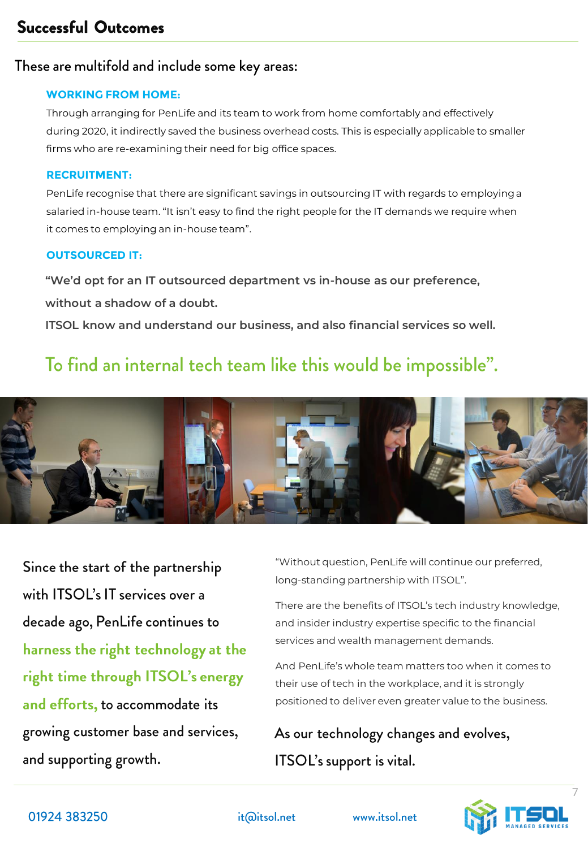## **Successful Outcomes**

#### These are multifold and include some key areas:

#### **WORKING FROM HOME:**

Through arranging for PenLife and its team to work from home comfortably and effectively during 2020, it indirectly saved the business overhead costs. This is especially applicable to smaller firms who are re-examining their need for big office spaces.

#### **RECRUITMENT:**

PenLife recognise that there are significant savings in outsourcing IT with regards to employing a salaried in-house team. "It isn't easy to find the right people for the IT demands we require when it comes to employing an in-house team".

#### **OUTSOURCED IT:**

**"We'd opt for an IT outsourced department vs in-house as our preference, without a shadow of a doubt.** 

**ITSOL know and understand our business, and also financial services so well.** 

## To find an internal tech team like this would be impossible".



Since the start of the partnership with ITSOL's IT services over a decade ago, PenLife continues to harness the right technology at the right time through ITSOL's energy and efforts, to accommodate its growing customer base and services, and supporting growth.

"Without question, PenLife will continue our preferred, long-standing partnership with ITSOL".

There are the benefits of ITSOL's tech industry knowledge, and insider industry expertise specific to the financial services and wealth management demands.

And PenLife's whole team matters too when it comes to their use of tech in the workplace, and it is strongly positioned to deliver even greater value to the business.

As our technology changes and evolves, ITSOL's support is vital.